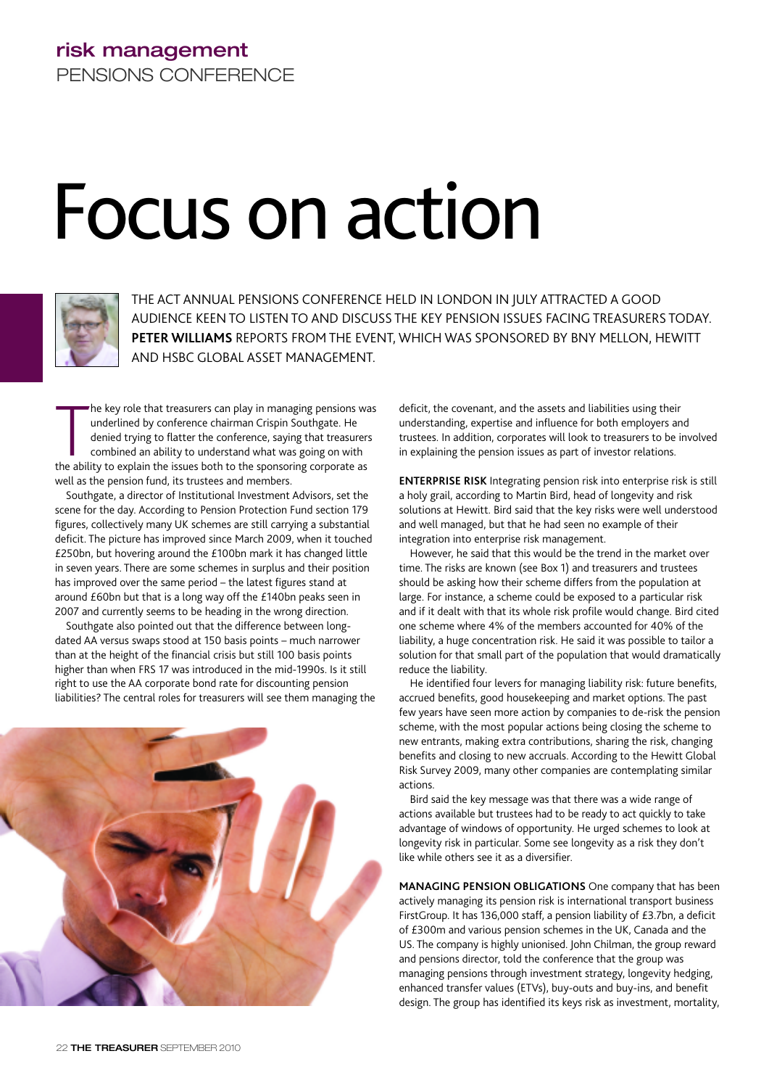# **risk management** PENSIONS CONFERENCE

# Focus on action



THE ACT ANNUAL PENSIONS CONFERENCE HELD IN LONDON IN JULY ATTRACTED A GOOD AUDIENCE KEEN TO LISTEN TO AND DISCUSS THE KEY PENSION ISSUES FACING TREASURERS TODAY. **PETER WILLIAMS** REPORTS FROM THE EVENT, WHICH WAS SPONSORED BY BNY MELLON, HEWITT AND HSBC GLOBAL ASSET MANAGEMENT.

The key role that treasurers can play in managing pensions w<br>underlined by conference chairman Crispin Southgate. He<br>denied trying to flatter the conference, saying that treasurer<br>combined an ability to understand what was he key role that treasurers can play in managing pensions was underlined by conference chairman Crispin Southgate. He denied trying to flatter the conference, saying that treasurers combined an ability to understand what was going on with well as the pension fund, its trustees and members.

Southgate, a director of Institutional Investment Advisors, set the scene for the day. According to Pension Protection Fund section 179 figures, collectively many UK schemes are still carrying a substantial deficit. The picture has improved since March 2009, when it touched £250bn, but hovering around the £100bn mark it has changed little in seven years. There are some schemes in surplus and their position has improved over the same period – the latest figures stand at around £60bn but that is a long way off the £140bn peaks seen in 2007 and currently seems to be heading in the wrong direction.

Southgate also pointed out that the difference between longdated AA versus swaps stood at 150 basis points – much narrower than at the height of the financial crisis but still 100 basis points higher than when FRS 17 was introduced in the mid-1990s. Is it still right to use the AA corporate bond rate for discounting pension liabilities? The central roles for treasurers will see them managing the



deficit, the covenant, and the assets and liabilities using their understanding, expertise and influence for both employers and trustees. In addition, corporates will look to treasurers to be involved in explaining the pension issues as part of investor relations.

**ENTERPRISE RISK** Integrating pension risk into enterprise risk is still a holy grail, according to Martin Bird, head of longevity and risk solutions at Hewitt. Bird said that the key risks were well understood and well managed, but that he had seen no example of their integration into enterprise risk management.

However, he said that this would be the trend in the market over time. The risks are known (see Box 1) and treasurers and trustees should be asking how their scheme differs from the population at large. For instance, a scheme could be exposed to a particular risk and if it dealt with that its whole risk profile would change. Bird cited one scheme where 4% of the members accounted for 40% of the liability, a huge concentration risk. He said it was possible to tailor a solution for that small part of the population that would dramatically reduce the liability.

He identified four levers for managing liability risk: future benefits, accrued benefits, good housekeeping and market options. The past few years have seen more action by companies to de-risk the pension scheme, with the most popular actions being closing the scheme to new entrants, making extra contributions, sharing the risk, changing benefits and closing to new accruals. According to the Hewitt Global Risk Survey 2009, many other companies are contemplating similar actions.

Bird said the key message was that there was a wide range of actions available but trustees had to be ready to act quickly to take advantage of windows of opportunity. He urged schemes to look at longevity risk in particular. Some see longevity as a risk they don't like while others see it as a diversifier.

**MANAGING PENSION OBLIGATIONS** One company that has been actively managing its pension risk is international transport business FirstGroup. It has 136,000 staff, a pension liability of £3.7bn, a deficit of £300m and various pension schemes in the UK, Canada and the US. The company is highly unionised. John Chilman, the group reward and pensions director, told the conference that the group was managing pensions through investment strategy, longevity hedging, enhanced transfer values (ETVs), buy-outs and buy-ins, and benefit design. The group has identified its keys risk as investment, mortality,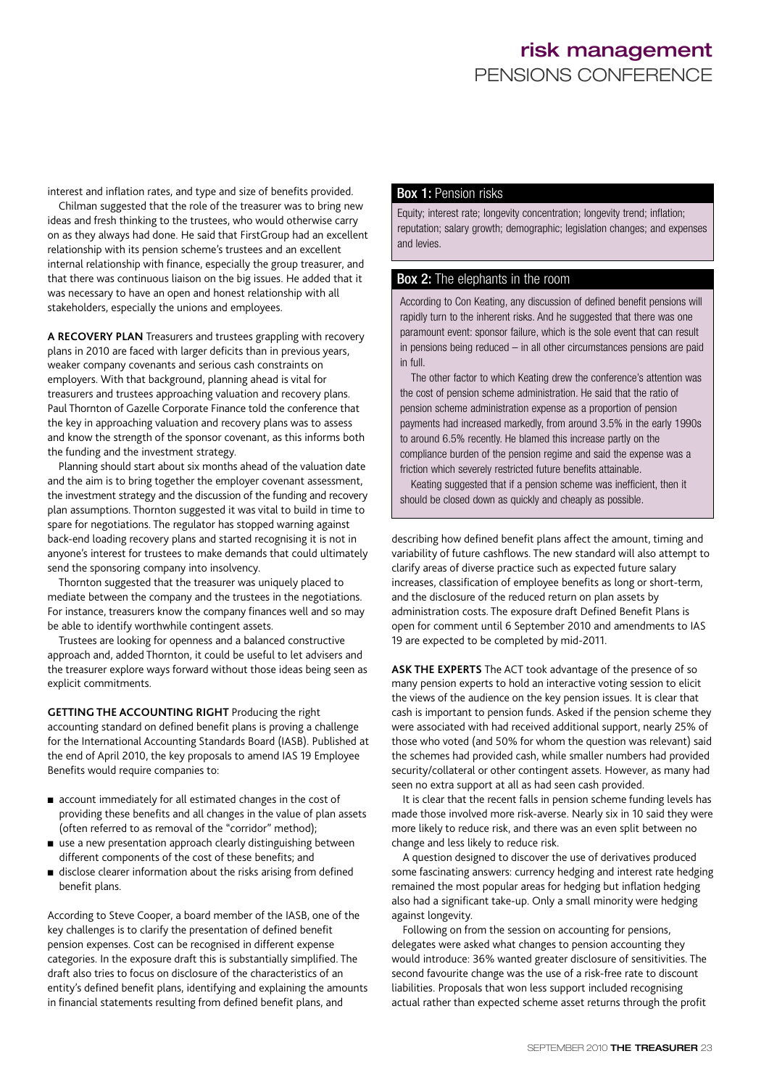interest and inflation rates, and type and size of benefits provided.

Chilman suggested that the role of the treasurer was to bring new ideas and fresh thinking to the trustees, who would otherwise carry on as they always had done. He said that FirstGroup had an excellent relationship with its pension scheme's trustees and an excellent internal relationship with finance, especially the group treasurer, and that there was continuous liaison on the big issues. He added that it was necessary to have an open and honest relationship with all stakeholders, especially the unions and employees.

**A RECOVERY PLAN** Treasurers and trustees grappling with recovery plans in 2010 are faced with larger deficits than in previous years, weaker company covenants and serious cash constraints on employers. With that background, planning ahead is vital for treasurers and trustees approaching valuation and recovery plans. Paul Thornton of Gazelle Corporate Finance told the conference that the key in approaching valuation and recovery plans was to assess and know the strength of the sponsor covenant, as this informs both the funding and the investment strategy.

Planning should start about six months ahead of the valuation date and the aim is to bring together the employer covenant assessment, the investment strategy and the discussion of the funding and recovery plan assumptions. Thornton suggested it was vital to build in time to spare for negotiations. The regulator has stopped warning against back-end loading recovery plans and started recognising it is not in anyone's interest for trustees to make demands that could ultimately send the sponsoring company into insolvency.

Thornton suggested that the treasurer was uniquely placed to mediate between the company and the trustees in the negotiations. For instance, treasurers know the company finances well and so may be able to identify worthwhile contingent assets.

Trustees are looking for openness and a balanced constructive approach and, added Thornton, it could be useful to let advisers and the treasurer explore ways forward without those ideas being seen as explicit commitments.

**GETTING THE ACCOUNTING RIGHT** Producing the right accounting standard on defined benefit plans is proving a challenge for the International Accounting Standards Board (IASB). Published at the end of April 2010, the key proposals to amend IAS 19 Employee Benefits would require companies to:

- account immediately for all estimated changes in the cost of providing these benefits and all changes in the value of plan assets (often referred to as removal of the "corridor" method);
- use a new presentation approach clearly distinguishing between different components of the cost of these benefits; and
- disclose clearer information about the risks arising from defined benefit plans.

According to Steve Cooper, a board member of the IASB, one of the key challenges is to clarify the presentation of defined benefit pension expenses. Cost can be recognised in different expense categories. In the exposure draft this is substantially simplified. The draft also tries to focus on disclosure of the characteristics of an entity's defined benefit plans, identifying and explaining the amounts in financial statements resulting from defined benefit plans, and

#### Box 1: Pension risks

Equity; interest rate; longevity concentration; longevity trend; inflation; reputation; salary growth; demographic; legislation changes; and expenses and levies.

#### Box 2: The elephants in the room

According to Con Keating, any discussion of defined benefit pensions will rapidly turn to the inherent risks. And he suggested that there was one paramount event: sponsor failure, which is the sole event that can result in pensions being reduced – in all other circumstances pensions are paid in full.

The other factor to which Keating drew the conference's attention was the cost of pension scheme administration. He said that the ratio of pension scheme administration expense as a proportion of pension payments had increased markedly, from around 3.5% in the early 1990s to around 6.5% recently. He blamed this increase partly on the compliance burden of the pension regime and said the expense was a friction which severely restricted future benefits attainable.

Keating suggested that if a pension scheme was inefficient, then it should be closed down as quickly and cheaply as possible.

describing how defined benefit plans affect the amount, timing and variability of future cashflows. The new standard will also attempt to clarify areas of diverse practice such as expected future salary increases, classification of employee benefits as long or short-term, and the disclosure of the reduced return on plan assets by administration costs. The exposure draft Defined Benefit Plans is open for comment until 6 September 2010 and amendments to IAS 19 are expected to be completed by mid-2011.

**ASK THE EXPERTS** The ACT took advantage of the presence of so many pension experts to hold an interactive voting session to elicit the views of the audience on the key pension issues. It is clear that cash is important to pension funds. Asked if the pension scheme they were associated with had received additional support, nearly 25% of those who voted (and 50% for whom the question was relevant) said the schemes had provided cash, while smaller numbers had provided security/collateral or other contingent assets. However, as many had seen no extra support at all as had seen cash provided.

It is clear that the recent falls in pension scheme funding levels has made those involved more risk-averse. Nearly six in 10 said they were more likely to reduce risk, and there was an even split between no change and less likely to reduce risk.

A question designed to discover the use of derivatives produced some fascinating answers: currency hedging and interest rate hedging remained the most popular areas for hedging but inflation hedging also had a significant take-up. Only a small minority were hedging against longevity.

Following on from the session on accounting for pensions, delegates were asked what changes to pension accounting they would introduce: 36% wanted greater disclosure of sensitivities. The second favourite change was the use of a risk-free rate to discount liabilities. Proposals that won less support included recognising actual rather than expected scheme asset returns through the profit